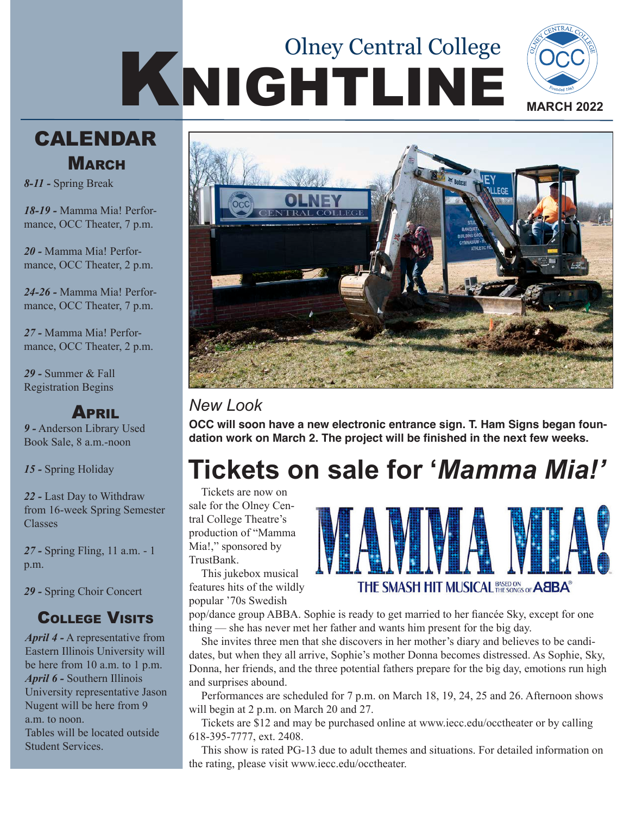# KNIGHTLINE Olney Central College





*8-11 -* Spring Break

*18-19 -* Mamma Mia! Performance, OCC Theater, 7 p.m.

*20 -* Mamma Mia! Performance, OCC Theater, 2 p.m.

*24-26 -* Mamma Mia! Performance, OCC Theater, 7 p.m.

*27 -* Mamma Mia! Performance, OCC Theater, 2 p.m.

*29 -* Summer & Fall Registration Begins

#### **APRIL**

*9 -* Anderson Library Used Book Sale, 8 a.m.-noon

*15 -* Spring Holiday

*22 -* Last Day to Withdraw from 16-week Spring Semester Classes

*27 -* Spring Fling, 11 a.m. - 1 p.m.

*29 -* Spring Choir Concert

#### College Visits

*April 4 -* A representative from Eastern Illinois University will be here from 10 a.m. to 1 p.m. *April 6 -* Southern Illinois University representative Jason Nugent will be here from 9 a.m. to noon. Tables will be located outside Student Services.



#### *New Look*

**OCC will soon have a new electronic entrance sign. T. Ham Signs began foundation work on March 2. The project will be finished in the next few weeks.**

## **Tickets on sale for '***Mamma Mia!'*

Tickets are now on sale for the Olney Central College Theatre's production of "Mamma Mia!," sponsored by TrustBank.

This jukebox musical features hits of the wildly popular '70s Swedish



pop/dance group ABBA. Sophie is ready to get married to her fiancée Sky, except for one thing — she has never met her father and wants him present for the big day.

She invites three men that she discovers in her mother's diary and believes to be candidates, but when they all arrive, Sophie's mother Donna becomes distressed. As Sophie, Sky, Donna, her friends, and the three potential fathers prepare for the big day, emotions run high and surprises abound.

Performances are scheduled for 7 p.m. on March 18, 19, 24, 25 and 26. Afternoon shows will begin at 2 p.m. on March 20 and 27.

Tickets are \$12 and may be purchased online at www.iecc.edu/occtheater or by calling 618-395-7777, ext. 2408.

This show is rated PG-13 due to adult themes and situations. For detailed information on the rating, please visit www.iecc.edu/occtheater.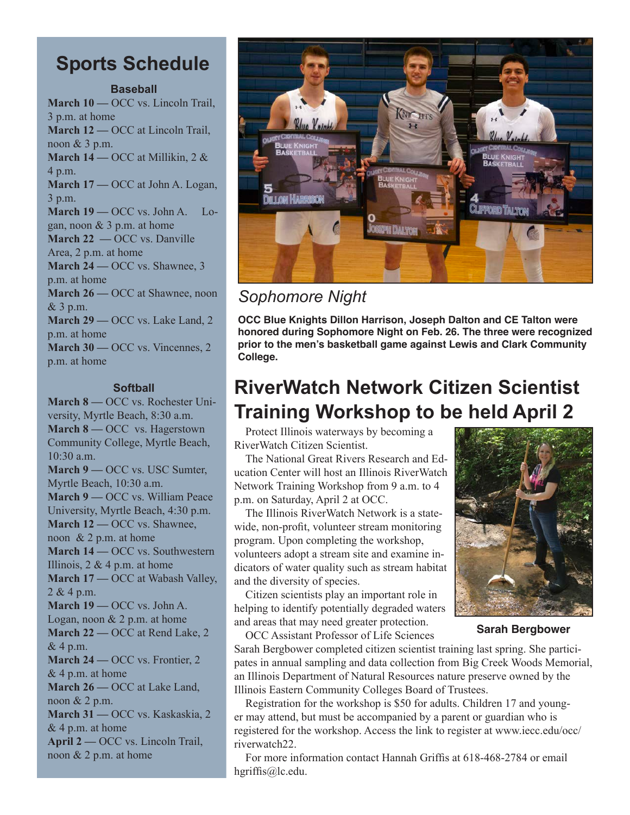#### **Sports Schedule**

#### **Baseball**

**March 10 —** OCC vs. Lincoln Trail, 3 p.m. at home **March 12 —** OCC at Lincoln Trail, noon & 3 p.m. **March 14 —** OCC at Millikin, 2 & 4 p.m. **March 17 —** OCC at John A. Logan, 3 p.m. **March 19 —** OCC vs. John A. Logan, noon & 3 p.m. at home **March 22 —** OCC vs. Danville Area, 2 p.m. at home **March 24 —** OCC vs. Shawnee, 3 p.m. at home **March 26 —** OCC at Shawnee, noon & 3 p.m. **March 29 —** OCC vs. Lake Land, 2 p.m. at home **March 30 —** OCC vs. Vincennes, 2

p.m. at home

**Softball March 8 —** OCC vs. Rochester University, Myrtle Beach, 8:30 a.m. **March 8 —** OCC vs. Hagerstown Community College, Myrtle Beach, 10:30 a.m. **March 9 —** OCC vs. USC Sumter, Myrtle Beach, 10:30 a.m. **March 9 —** OCC vs. William Peace University, Myrtle Beach, 4:30 p.m. **March 12 —** OCC vs. Shawnee, noon & 2 p.m. at home **March 14 —** OCC vs. Southwestern Illinois,  $2 \& 4 \text{ p.m.}$  at home **March 17 — OCC** at Wabash Valley,  $2 & 4 p.m.$ **March 19 —** OCC vs. John A. Logan, noon  $& 2 p.m.$  at home **March 22 —** OCC at Rend Lake, 2 & 4 p.m. **March 24 —** OCC vs. Frontier, 2 & 4 p.m. at home **March 26 —** OCC at Lake Land, noon & 2 p.m. **March 31 —** OCC vs. Kaskaskia, 2 & 4 p.m. at home **April 2 —** OCC vs. Lincoln Trail, noon & 2 p.m. at home



*Sophomore Night*

**OCC Blue Knights Dillon Harrison, Joseph Dalton and CE Talton were honored during Sophomore Night on Feb. 26. The three were recognized prior to the men's basketball game against Lewis and Clark Community College.**

## **RiverWatch Network Citizen Scientist Training Workshop to be held April 2**

Protect Illinois waterways by becoming a RiverWatch Citizen Scientist.

The National Great Rivers Research and Education Center will host an Illinois RiverWatch Network Training Workshop from 9 a.m. to 4 p.m. on Saturday, April 2 at OCC.

The Illinois RiverWatch Network is a statewide, non-profit, volunteer stream monitoring program. Upon completing the workshop, volunteers adopt a stream site and examine indicators of water quality such as stream habitat and the diversity of species.

Citizen scientists play an important role in helping to identify potentially degraded waters and areas that may need greater protection.

OCC Assistant Professor of Life Sciences



**Sarah Bergbower**

Sarah Bergbower completed citizen scientist training last spring. She participates in annual sampling and data collection from Big Creek Woods Memorial, an Illinois Department of Natural Resources nature preserve owned by the Illinois Eastern Community Colleges Board of Trustees.

Registration for the workshop is \$50 for adults. Children 17 and younger may attend, but must be accompanied by a parent or guardian who is registered for the workshop. Access the link to register at www.iecc.edu/occ/ riverwatch22.

For more information contact Hannah Griffis at 618-468-2784 or email hgriffis@lc.edu.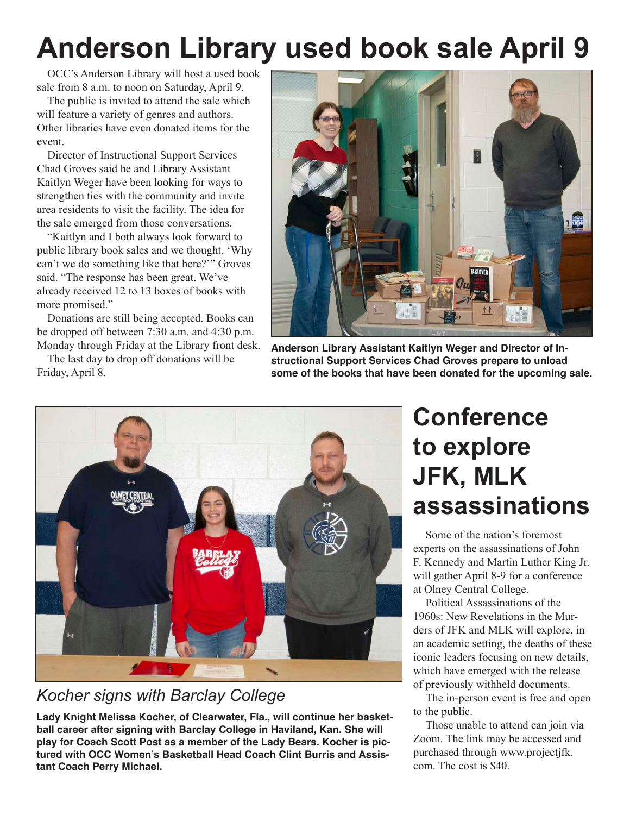## **Anderson Library used book sale April 9**

OCC's Anderson Library will host a used book sale from 8 a.m. to noon on Saturday, April 9.

The public is invited to attend the sale which will feature a variety of genres and authors. Other libraries have even donated items for the event.

Director of Instructional Support Services Chad Groves said he and Library Assistant Kaitlyn Weger have been looking for ways to strengthen ties with the community and invite area residents to visit the facility. The idea for the sale emerged from those conversations.

"Kaitlyn and I both always look forward to public library book sales and we thought, 'Why can't we do something like that here?'" Groves said. "The response has been great. We've already received 12 to 13 boxes of books with more promised."

Donations are still being accepted. Books can be dropped off between 7:30 a.m. and 4:30 p.m. Monday through Friday at the Library front desk.

The last day to drop off donations will be Friday, April 8.



**Anderson Library Assistant Kaitlyn Weger and Director of Instructional Support Services Chad Groves prepare to unload some of the books that have been donated for the upcoming sale.** 



#### *Kocher signs with Barclay College*

**Lady Knight Melissa Kocher, of Clearwater, Fla., will continue her basketball career after signing with Barclay College in Haviland, Kan. She will play for Coach Scott Post as a member of the Lady Bears. Kocher is pictured with OCC Women's Basketball Head Coach Clint Burris and Assistant Coach Perry Michael.**

## **Conference to explore JFK, MLK assassinations**

Some of the nation's foremost experts on the assassinations of John F. Kennedy and Martin Luther King Jr. will gather April 8-9 for a conference at Olney Central College.

Political Assassinations of the 1960s: New Revelations in the Murders of JFK and MLK will explore, in an academic setting, the deaths of these iconic leaders focusing on new details, which have emerged with the release of previously withheld documents.

The in-person event is free and open to the public.

Those unable to attend can join via Zoom. The link may be accessed and purchased through www.projectjfk. com. The cost is \$40.